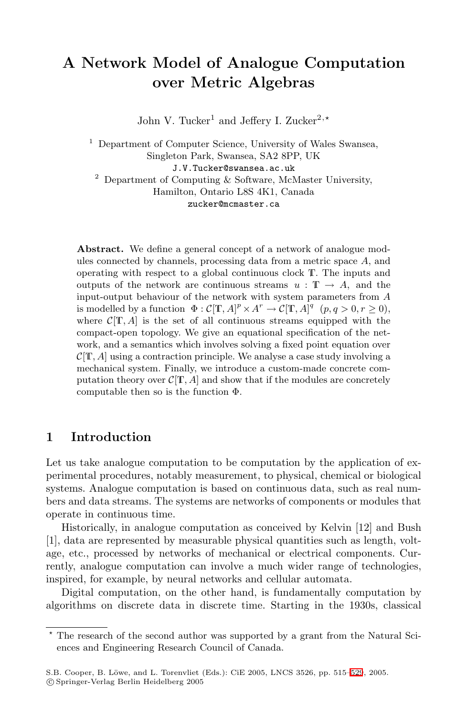# **A Network Model of Analogue Computation over Metric Algebras**

John V. Tucker<sup>1</sup> and Jeffery I. Zucker<sup>2,\*</sup>

<sup>1</sup> Department of Computer Science, University of Wales Swansea, Singleton Park, Swansea, SA2 8PP, UK J.V.Tucker@swansea.ac.uk  $2$  Department of Computing & Software, McMaster University, Hamilton, Ontario L8S 4K1, Canada

zucker@mcmaster.ca

Abstract. We define a general concept of a network of analogue modules connected by channels, processing data from a metric space *A*, and operating with respect to a global continuous clock T. The inputs and outputs of the network are continuous streams  $u : \mathbb{T} \to A$ , and the input-output behaviour of the network with system parameters from *A* is modelled by a function  $\Phi: \mathcal{C}[\mathbb{T}, A]^p \times A^r \to \mathcal{C}[\mathbb{T}, A]^q$   $(p, q > 0, r \ge 0)$ , where  $\mathcal{C}[\mathbb{T}, A]$  is the set of all continuous streams equipped with the compact-open topology. We give an equational specification of the network, and a semantics which involves solving a fixed point equation over  $\mathcal{C}[\mathbf{T}, A]$  using a contraction principle. We analyse a case study involving a mechanical system. Finally, we introduce a custom-made concrete computation theory over  $C[T, A]$  and show that if the modules are concretely computable then so is the function  $\Phi$ .

## **1 Introduction**

Let us take analogue computation to be computation by the application of experimental procedures, notably measurement, to physical, chemical or biological systems. Analogue computation is based on continuous data, such as real numbers and data streams. The systems are networks of components or modules that operate in continuous time.

Historically, in analogue computation as conceived by Kelvin [12] and Bush [1], data are represented by measurable physical quantities such as length, voltage, etc., processed by networks of mechanical or electrical components. Currently, analogue computation can involve a much wider range of technologies, inspired, for example, by neural networks and cellular automata.

Digital computation, on the other hand, is fundamentally computation by algorithms on discrete data in discrete time. Starting in the 1930s, classical

<sup>\*</sup> The research of the second author was supported by a grant from the Natural Sciences and Engineering Research Council of Canada.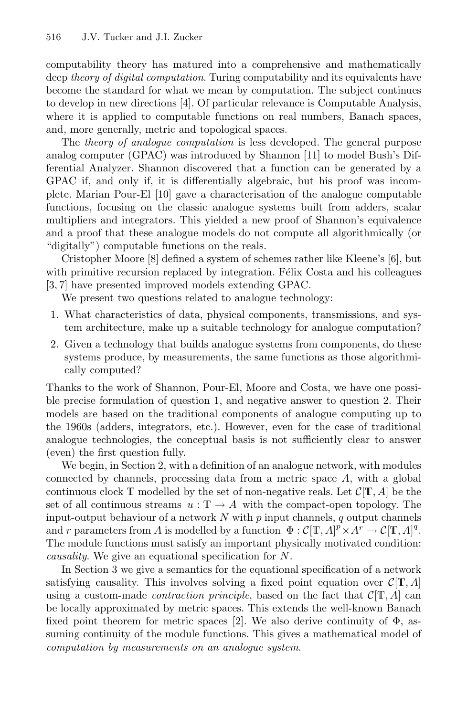computability theory has matured into a comprehensive and mathematically deep *theory of digital computation*. Turing computability and its equivalents have become the standard for what we mean by computation. The subject continues to develop in new directions [4]. Of particular relevance is Computable Analysis, where it is applied to computable functions on real numbers, Banach spaces, and, more generally, metric and topological spaces.

The *theory of analogue computation* is less developed. The general purpose analog computer (GPAC) was introduced by Shannon [11] to model Bush's Differential Analyzer. Shannon discovered that a function can be generated by a GPAC if, and only if, it is differentially algebraic, but his proof was incomplete. Marian Pour-El [10] gave a characterisation of the analogue computable functions, focusing on the classic analogue systems built from adders, scalar multipliers and integrators. This yielded a new proof of Shannon's equivalence and a proof that these analogue models do not compute all algorithmically (or "digitally") computable functions on the reals.

Cristopher Moore [8] defined a system of schemes rather like Kleene's [6], but with primitive recursion replaced by integration. Félix Costa and his colleagues [3, 7] have presented improved models extending GPAC.

We present two questions related to analogue technology:

- 1. What characteristics of data, physical components, transmissions, and system architecture, make up a suitable technology for analogue computation?
- 2. Given a technology that builds analogue systems from components, do these systems produce, by measurements, the same functions as those algorithmically computed?

Thanks to the work of Shannon, Pour-El, Moore and Costa, we have one possible precise formulation of question 1, and negative answer to question 2. Their models are based on the traditional components of analogue computing up to the 1960s (adders, integrators, etc.). However, even for the case of traditional analogue technologies, the conceptual basis is not sufficiently clear to answer (even) the first question fully.

We begin, in Section 2, with a definition of an analogue network, with modules connected by channels, processing data from a metric space  $A$ , with a global continuous clock  $\mathbb T$  modelled by the set of non-negative reals. Let  $\mathcal C[\mathbb T,A]$  be the set of all continuous streams  $u : \mathbb{T} \to A$  with the compact-open topology. The input-output behaviour of a network  $N$  with  $p$  input channels,  $q$  output channels and r parameters from A is modelled by a function  $\Phi : \mathcal{C}[\mathbb{T}, A]^p \times A^r \to \mathcal{C}[\mathbb{T}, A]^q$ . The module functions must satisfy an important physically motivated condition: *causality*. We give an equational specification for N.

In Section 3 we give a semantics for the equational specification of a network satisfying causality. This involves solving a fixed point equation over  $\mathcal{C}[\mathbf{T}, A]$ using a custom-made *contraction principle*, based on the fact that  $\mathcal{C}[\mathbb{T}, A]$  can be locally approximated by metric spaces. This extends the well-known Banach fixed point theorem for metric spaces [2]. We also derive continuity of  $\Phi$ , assuming continuity of the module functions. This gives a mathematical model of *computation by measurements on an analogue system*.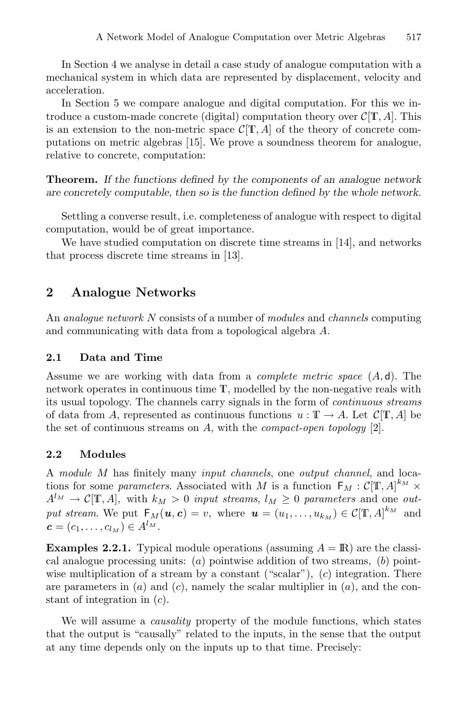In Section 4 we analyse in detail a case study of analogue computation with a mechanical system in which data are represented by displacement, velocity and acceleration.

In Section 5 we compare analogue and digital computation. For this we introduce a custom-made concrete (digital) computation theory over  $\mathcal{C}[\mathbb{T}, A]$ . This is an extension to the non-metric space  $\mathcal{C}[\mathbb{T}, A]$  of the theory of concrete computations on metric algebras [15]. We prove a soundness theorem for analogue, relative to concrete, computation:

**Theorem.** *If the functions defined by the components of an analogue network are concretely computable, then so is the function defined by the whole network.*

Settling a converse result, i.e. completeness of analogue with respect to digital computation, would be of great importance.

We have studied computation on discrete time streams in [14], and networks that process discrete time streams in [13].

## **2 Analogue Networks**

An *analogue network* N consists of a number of *modules* and *channels* computing and communicating with data from a topological algebra A.

#### **2.1 Data and Time**

Assume we are working with data from a *complete metric space* (A, d). The network operates in continuous time T, modelled by the non-negative reals with its usual topology. The channels carry signals in the form of *continuous streams* of data from A, represented as continuous functions  $u : \mathbb{T} \to A$ . Let  $\mathcal{C}[\mathbb{T}, A]$  be the set of continuous streams on A, with the *compact-open topology* [2].

#### **2.2 Modules**

A *module* M has finitely many *input channels*, one *output channel*, and locations for some *parameters*. Associated with M is a function  $F_M : C[T, A]^{k_M} \times$  $A^{l_M} \to \mathcal{C}[\mathbb{T}, A],$  with  $k_M > 0$  *input streams*,  $l_M \geq 0$  *parameters* and one *output stream.* We put  $F_M(u, c) = v$ , where  $u = (u_1, \ldots, u_{k_M}) \in C[\mathbf{T}, A]^{k_M}$  and  $c = (c_1, \ldots, c_{l_M}) \in A^{l_M}.$ 

**Examples 2.2.1.** Typical module operations (assuming  $A = \mathbb{R}$ ) are the classical analogue processing units:  $(a)$  pointwise addition of two streams,  $(b)$  pointwise multiplication of a stream by a constant ("scalar"), (c) integration. There are parameters in  $(a)$  and  $(c)$ , namely the scalar multiplier in  $(a)$ , and the constant of integration in (c).

We will assume a *causality* property of the module functions, which states that the output is "causally" related to the inputs, in the sense that the output at any time depends only on the inputs up to that time. Precisely: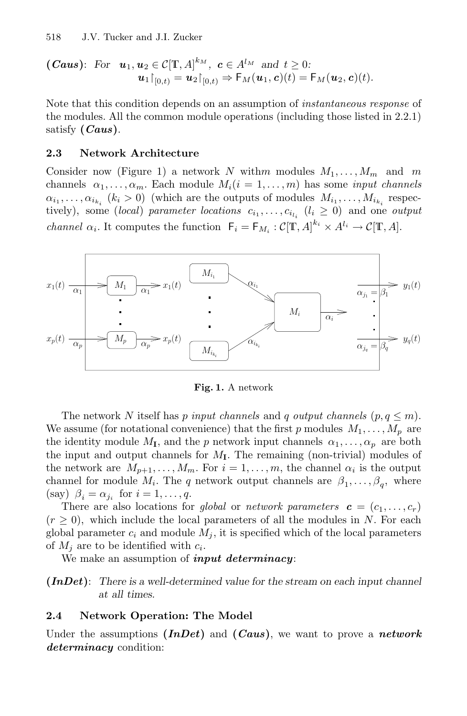(*Caus*): For 
$$
\mathbf{u}_1, \mathbf{u}_2 \in C[\mathbf{T}, A]^{k_M}
$$
,  $\mathbf{c} \in A^{l_M}$  and  $t \geq 0$ :  
\n $\mathbf{u}_1|_{[0,t)} = \mathbf{u}_2|_{[0,t)} \Rightarrow F_M(\mathbf{u}_1, \mathbf{c})(t) = F_M(\mathbf{u}_2, \mathbf{c})(t)$ .

Note that this condition depends on an assumption of *instantaneous response* of the modules. All the common module operations (including those listed in 2.2.1) satisfy **(***Caus***)**.

#### **2.3 Network Architecture**

Consider now (Figure 1) a network N withm modules  $M_1, \ldots, M_m$  and m channels  $\alpha_1, \ldots, \alpha_m$ . Each module  $M_i(i = 1, \ldots, m)$  has some *input channels*  $\alpha_{i_1}, \ldots, \alpha_{i_{k_i}}$  ( $k_i > 0$ ) (which are the outputs of modules  $M_{i_1}, \ldots, M_{i_{k_i}}$  respectively), some (*local*) *parameter locations*  $c_{i_1}, \ldots, c_{i_{l_i}}$  ( $l_i \geq 0$ ) and one *output channel*  $\alpha_i$ . It computes the function  $F_i = F_{M_i} : C[\mathbf{T}, A]^{k_i} \times A^{l_i} \to C[\mathbf{T}, A]$ .



**Fig. 1.** A network

The network N itself has p *input channels* and q *output channels*  $(p, q \le m)$ . We assume (for notational convenience) that the first p modules  $M_1, \ldots, M_p$  are the identity module  $M_{\mathbf{I}}$ , and the p network input channels  $\alpha_1, \ldots, \alpha_p$  are both the input and output channels for  $M_{\rm I}$ . The remaining (non-trivial) modules of the network are  $M_{p+1},...,M_m$ . For  $i=1,...,m$ , the channel  $\alpha_i$  is the output channel for module  $M_i$ . The q network output channels are  $\beta_1, \ldots, \beta_q$ , where (say)  $\beta_i = \alpha_{i_i}$  for  $i = 1, \ldots, q$ .

There are also locations for *global* or *network parameters*  $\mathbf{c} = (c_1, \ldots, c_r)$  $(r \geq 0)$ , which include the local parameters of all the modules in N. For each global parameter  $c_i$  and module  $M_j$ , it is specified which of the local parameters of  $M_i$  are to be identified with  $c_i$ .

We make an assumption of *input determinacy*:

**(***InDet***)**: *There is a well-determined value for the stream on each input channel at all times.*

#### **2.4 Network Operation: The Model**

Under the assumptions **(***InDet***)** and **(***Caus***)**, we want to prove a *network determinacy* condition: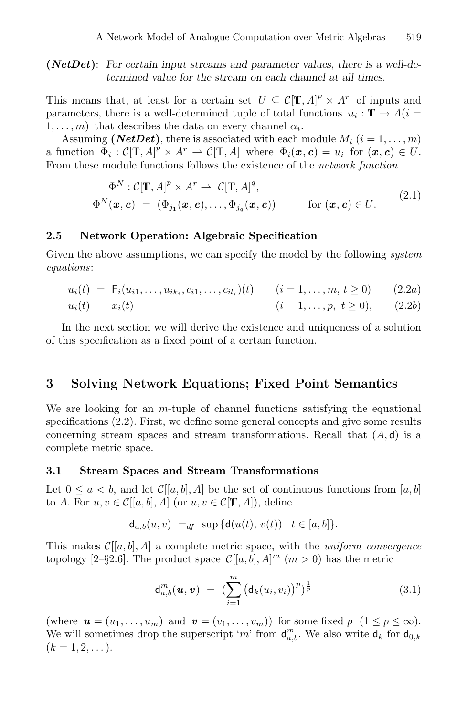**(***NetDet***)**: *For certain input streams and parameter values, there is a well-determined value for the stream on each channel at all times.*

This means that, at least for a certain set  $U \subseteq \mathcal{C}[\mathbf{T},A]^p \times A^r$  of inputs and parameters, there is a well-determined tuple of total functions  $u_i : \mathbb{T} \to A(i =$  $1, \ldots, m$ ) that describes the data on every channel  $\alpha_i$ .

Assuming (*NetDet*), there is associated with each module  $M_i$  ( $i = 1, \ldots, m$ ) a function  $\Phi_i : \mathcal{C}[\mathbb{T}, A]^p \times A^r \to \mathcal{C}[\mathbb{T}, A]$  where  $\Phi_i(\mathbf{x}, \mathbf{c}) = u_i$  for  $(\mathbf{x}, \mathbf{c}) \in U$ . From these module functions follows the existence of the *network function*

$$
\Phi^N : \mathcal{C}[\mathbf{T}, A]^p \times A^r \to \mathcal{C}[\mathbf{T}, A]^q,
$$
\n
$$
\Phi^N(\mathbf{x}, \mathbf{c}) = (\Phi_{j_1}(\mathbf{x}, \mathbf{c}), \dots, \Phi_{j_q}(\mathbf{x}, \mathbf{c})) \quad \text{for } (\mathbf{x}, \mathbf{c}) \in U.
$$
\n(2.1)

#### **2.5 Network Operation: Algebraic Specification**

Given the above assumptions, we can specify the model by the following *system equations*:

$$
u_i(t) = F_i(u_{i1}, \dots, u_{ik_i}, c_{i1}, \dots, c_{il_i})(t) \qquad (i = 1, \dots, m, t \ge 0)
$$
 (2.2a)

$$
u_i(t) = x_i(t) \qquad (i = 1, ..., p, t \ge 0), \qquad (2.2b)
$$

In the next section we will derive the existence and uniqueness of a solution of this specification as a fixed point of a certain function.

### **3 Solving Network Equations; Fixed Point Semantics**

We are looking for an  $m$ -tuple of channel functions satisfying the equational specifications (2.2). First, we define some general concepts and give some results concerning stream spaces and stream transformations. Recall that  $(A, d)$  is a complete metric space.

#### **3.1 Stream Spaces and Stream Transformations**

Let  $0 \leq a < b$ , and let  $\mathcal{C}[[a, b], A]$  be the set of continuous functions from  $[a, b]$ to A. For  $u, v \in \mathcal{C}[[a, b], A]$  (or  $u, v \in \mathcal{C}[\mathbb{T}, A]$ ), define

$$
d_{a,b}(u,v) =_{df} \sup \{d(u(t), v(t)) \mid t \in [a, b]\}.
$$

This makes  $C[[a, b], A]$  a complete metric space, with the *uniform convergence* topology [2-§2.6]. The product space  $\mathcal{C}[[a, b], A]^m$   $(m > 0)$  has the metric

$$
d_{a,b}^m(\boldsymbol{u},\boldsymbol{v}) = \left(\sum_{i=1}^m \left(d_k(u_i,v_i)\right)^p\right)^{\frac{1}{p}} \tag{3.1}
$$

(where  $\mathbf{u} = (u_1, \ldots, u_m)$  and  $\mathbf{v} = (v_1, \ldots, v_m)$ ) for some fixed  $p \ (1 \leq p \leq \infty)$ . We will sometimes drop the superscript 'm' from  $d_{a,b}^m$ . We also write  $d_k$  for  $d_{0,k}$  $(k = 1, 2, \dots).$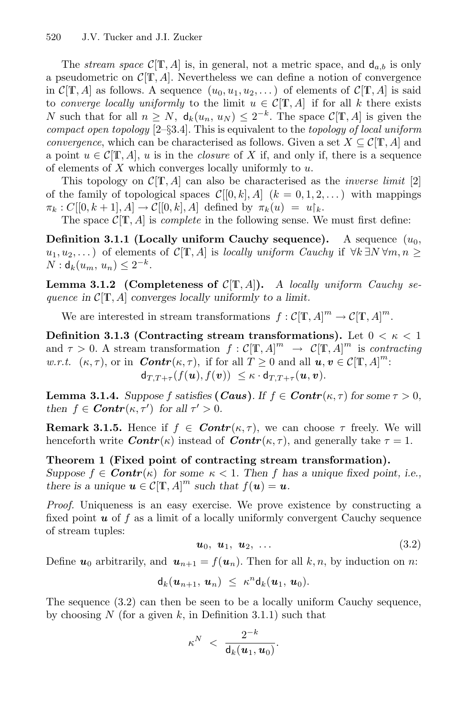The *stream space*  $C[\mathbb{T}, A]$  is, in general, not a metric space, and  $d_{a,b}$  is only a pseudometric on  $C[T, A]$ . Nevertheless we can define a notion of convergence in  $\mathcal{C}[\mathbb{T}, A]$  as follows. A sequence  $(u_0, u_1, u_2, \dots)$  of elements of  $\mathcal{C}[\mathbb{T}, A]$  is said to *converge locally uniformly* to the limit  $u \in \mathcal{C}[\mathbb{T}, A]$  if for all k there exists N such that for all  $n \geq N$ ,  $d_k(u_n, u_N) \leq 2^{-k}$ . The space  $\mathcal{C}[\mathbf{T}, A]$  is given the *compact open topology* [2–§3.4]. This is equivalent to the *topology of local uniform convergence*, which can be characterised as follows. Given a set  $X \subseteq \mathcal{C}[\mathbb{T}, A]$  and a point  $u \in \mathcal{C}[\mathbb{T}, A]$ , u is in the *closure* of X if, and only if, there is a sequence of elements of  $X$  which converges locally uniformly to  $u$ .

This topology on  $\mathcal{C}[\mathbf{T}, A]$  can also be characterised as the *inverse limit* [2] of the family of topological spaces  $\mathcal{C}[[0, k], A]$   $(k = 0, 1, 2, ...)$  with mappings  $\pi_k : C[[0, k+1], A] \to C[[0, k], A]$  defined by  $\pi_k(u) = u_k$ .

The space  $\mathcal{C}[\mathbf{T}, A]$  is *complete* in the following sense. We must first define:

**Definition 3.1.1 (Locally uniform Cauchy sequence).** A sequence  $(u_0,$ u<sub>1</sub>, u<sub>2</sub>,...) of elements of  $C[T, A]$  is *locally uniform Cauchy* if  $\forall k \exists N \forall m, n \geq$  $N : d_k(u_m, u_n) \leq 2^{-k}$ .

**Lemma 3.1.2** (Completeness of  $C[T, A]$ ). A *locally uniform Cauchy sequence in* C[T, A] *converges locally uniformly to a limit.*

We are interested in stream transformations  $f : C[\mathbb{T}, A]^m \to C[\mathbb{T}, A]^m$ .

**Definition 3.1.3 (Contracting stream transformations).** Let  $0 < \kappa < 1$ and  $\tau > 0$ . A stream transformation  $f : \mathcal{C}[\mathbf{T}, A]^m \to \mathcal{C}[\mathbf{T}, A]^m$  is *contracting w.r.t.*  $(\kappa, \tau)$ , or in *Contr*( $\kappa, \tau$ ), if for all  $T \ge 0$  and all  $u, v \in C[\mathbb{T}, A]^m$ :  $d_{T,T+\tau}(f(\boldsymbol{u}),f(\boldsymbol{v})) \leq \kappa \cdot d_{T,T+\tau}(\boldsymbol{u},\boldsymbol{v}).$ 

**Lemma 3.1.4.** *Suppose* f *satisfies* (*Caus*)*.* If  $f \in$  *Contr*( $\kappa, \tau$ ) *for some*  $\tau > 0$ *, then*  $f \in$  *Contr*( $\kappa$ ,  $\tau'$ ) *for all*  $\tau' > 0$ *.* 

**Remark 3.1.5.** Hence if  $f \in \text{Contr}(\kappa, \tau)$ , we can choose  $\tau$  freely. We will henceforth write  $\text{Contr}(\kappa)$  instead of  $\text{Contr}(\kappa, \tau)$ , and generally take  $\tau = 1$ .

**Theorem 1 (Fixed point of contracting stream transformation).** *Suppose*  $f \in \text{Contr}(\kappa)$  for some  $\kappa < 1$ . Then f has a unique fixed point, i.e., *there is a unique*  $u \in C[\mathbb{T}, A]^m$  *such that*  $f(u) = u$ *.* 

*Proof.* Uniqueness is an easy exercise. We prove existence by constructing a fixed point **u** of f as a limit of a locally uniformly convergent Cauchy sequence of stream tuples:

$$
\boldsymbol{u}_0, \ \boldsymbol{u}_1, \ \boldsymbol{u}_2, \ \ldots \tag{3.2}
$$

Define  $u_0$  arbitrarily, and  $u_{n+1} = f(u_n)$ . Then for all k, n, by induction on n:

$$
\mathsf{d}_k(\boldsymbol{u}_{n+1},\,\boldsymbol{u}_n)\,\,\leq\,\,\kappa^n\mathsf{d}_k(\boldsymbol{u}_1,\,\boldsymbol{u}_0).
$$

The sequence (3.2) can then be seen to be a locally uniform Cauchy sequence, by choosing N (for a given k, in Definition 3.1.1) such that

$$
\kappa^N \ < \ \frac{2^{-k}}{\mathsf{d}_k(\boldsymbol{u}_1,\boldsymbol{u}_0)}.
$$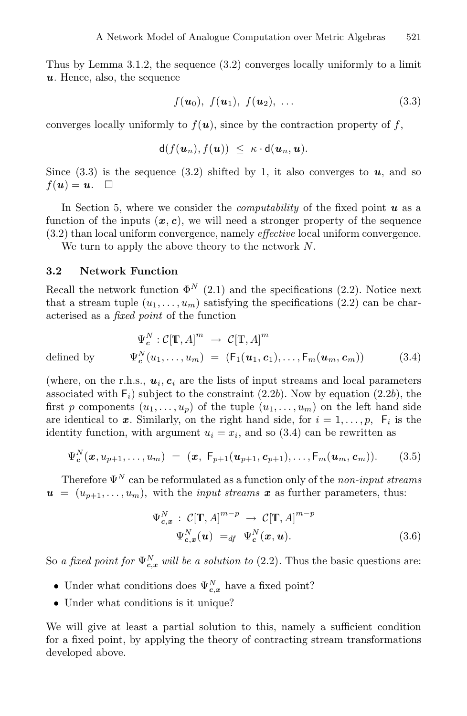Thus by Lemma 3.1.2, the sequence (3.2) converges locally uniformly to a limit *u*. Hence, also, the sequence

$$
f(\mathbf{u}_0), f(\mathbf{u}_1), f(\mathbf{u}_2), \ldots
$$
\n(3.3)

converges locally uniformly to  $f(\boldsymbol{u})$ , since by the contraction property of f,

$$
\mathsf{d}(f(u_n), f(u)) \leq \kappa \cdot \mathsf{d}(u_n, u).
$$

Since  $(3.3)$  is the sequence  $(3.2)$  shifted by 1, it also converges to  $u$ , and so  $f(\boldsymbol{u}) = \boldsymbol{u}$ .  $\Box$ 

In Section 5, where we consider the *computability* of the fixed point *u* as a function of the inputs  $(x, c)$ , we will need a stronger property of the sequence (3.2) than local uniform convergence, namely *effective* local uniform convergence.

We turn to apply the above theory to the network  $N$ .

#### **3.2 Network Function**

Recall the network function  $\Phi^N$  (2.1) and the specifications (2.2). Notice next that a stream tuple  $(u_1,\ldots,u_m)$  satisfying the specifications  $(2.2)$  can be characterised as a *fixed point* of the function

$$
\Psi_c^N : \mathcal{C}[\mathbb{T}, A]^m \to \mathcal{C}[\mathbb{T}, A]^m
$$
\n
$$
\text{defined by } \Psi_c^N(u_1, \dots, u_m) = (\mathsf{F}_1(\boldsymbol{u}_1, \boldsymbol{c}_1), \dots, \mathsf{F}_m(\boldsymbol{u}_m, \boldsymbol{c}_m)) \tag{3.4}
$$

(where, on the r.h.s.,  $u_i$ ,  $c_i$  are the lists of input streams and local parameters associated with  $F_i$ ) subject to the constraint (2.2b). Now by equation (2.2b), the first p components  $(u_1,\ldots,u_n)$  of the tuple  $(u_1,\ldots,u_m)$  on the left hand side are identical to x. Similarly, on the right hand side, for  $i = 1, \ldots, p$ ,  $F_i$  is the identity function, with argument  $u_i = x_i$ , and so (3.4) can be rewritten as

$$
\Psi_{\mathbf{c}}^{N}(\mathbf{x}, u_{p+1}, \dots, u_m) = (\mathbf{x}, \ \mathsf{F}_{p+1}(\mathbf{u}_{p+1}, \mathbf{c}_{p+1}), \dots, \mathsf{F}_m(\mathbf{u}_m, \mathbf{c}_m)).
$$
 (3.5)

Therefore  $\Psi^N$  can be reformulated as a function only of the *non-input streams*  $u = (u_{p+1}, \ldots, u_m)$ , with the *input streams*  $x$  as further parameters, thus:

$$
\Psi_{c,x}^N : \mathcal{C}[\mathbb{T}, A]^{m-p} \to \mathcal{C}[\mathbb{T}, A]^{m-p}
$$
  

$$
\Psi_{c,x}^N(\mathbf{u}) =_{df} \Psi_c^N(\mathbf{x}, \mathbf{u}).
$$
 (3.6)

So *a fixed point for*  $\Psi_{c,x}^{N}$  *will be a solution to* (2.2). Thus the basic questions are:

- Under what conditions does  $\Psi_{c,x}^N$  have a fixed point?
- Under what conditions is it unique?

We will give at least a partial solution to this, namely a sufficient condition for a fixed point, by applying the theory of contracting stream transformations developed above.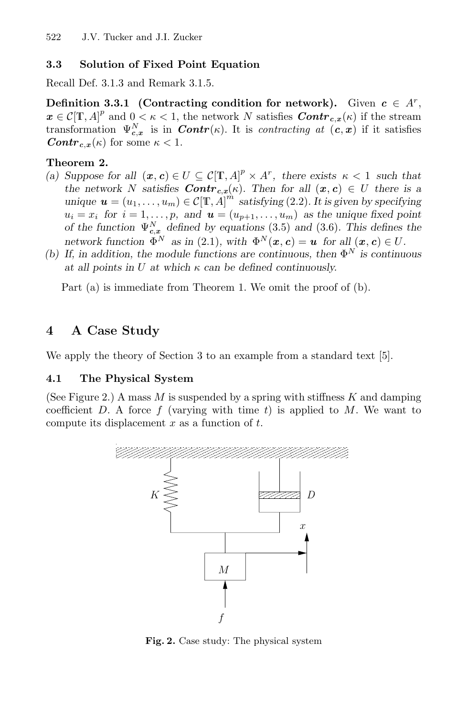### **3.3 Solution of Fixed Point Equation**

Recall Def. 3.1.3 and Remark 3.1.5.

**Definition 3.3.1** (Contracting condition for network). Given  $c \in A^r$ ,  $x \in C[\mathbb{T}, A]^p$  and  $0 < \kappa < 1$ , the network N satisfies  $Contr_{c,x}(\kappa)$  if the stream transformation  $\Psi_{c,x}^N$  is in *Contr*(*k*). It is *contracting at*  $(c, x)$  if it satisfies *Contr*<sub>c,*x*</sub>( $\kappa$ ) for some  $\kappa$  < 1.

#### **Theorem 2.**

- (a) Suppose for all  $(\mathbf{x}, \mathbf{c}) \in U \subseteq C[\mathbb{T}, A]^p \times A^r$ , there exists  $\kappa < 1$  such that *the network* N *satisfies Contr*<sub>c,*x*</sub>( $\kappa$ ). Then for all  $(x, c) \in U$  there is a *unique*  $u = (u_1, \ldots, u_m) \in C[\mathbf{T}, A]^m$  *satisfying* (2.2)*. It is given by specifying*  $u_i = x_i$  for  $i = 1, \ldots, p$ , and  $\mathbf{u} = (u_{p+1}, \ldots, u_m)$  as the unique fixed point *of the function*  $\Psi_{c,x}^{N}$  *defined by equations* (3.5) *and* (3.6)*. This defines the network function*  $\Phi^N$  *as in* (2.1)*, with*  $\Phi^N(\mathbf{x}, \mathbf{c}) = \mathbf{u}$  *for all*  $(\mathbf{x}, \mathbf{c}) \in U$ *.*
- (b) If, in addition, the module functions are continuous, then  $\Phi^N$  is continuous *at all points in* U *at which* κ *can be defined continuously.*

Part (a) is immediate from Theorem 1. We omit the proof of (b).

## **4 A Case Study**

We apply the theory of Section 3 to an example from a standard text [5].

#### **4.1 The Physical System**

(See Figure 2.) A mass M is suspended by a spring with stiffness  $K$  and damping coefficient D. A force  $f$  (varying with time  $t$ ) is applied to M. We want to compute its displacement  $x$  as a function of  $t$ .



**Fig. 2.** Case study: The physical system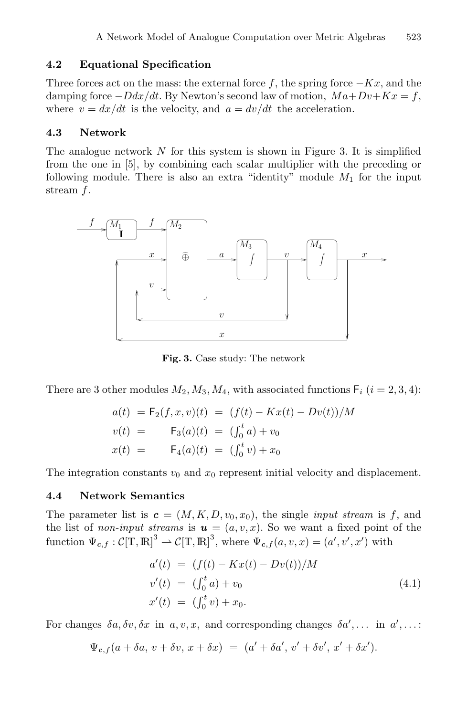#### **4.2 Equational Specification**

Three forces act on the mass: the external force f, the spring force  $-Kx$ , and the damping force  $-Ddx/dt$ . By Newton's second law of motion,  $Ma+Dv+Kx = f$ , where  $v = dx/dt$  is the velocity, and  $a = dv/dt$  the acceleration.

#### **4.3 Network**

The analogue network  $N$  for this system is shown in Figure 3. It is simplified from the one in [5], by combining each scalar multiplier with the preceding or following module. There is also an extra "identity" module  $M_1$  for the input stream f.



**Fig. 3.** Case study: The network

There are 3 other modules  $M_2, M_3, M_4$ , with associated functions  $\mathsf{F}_i$   $(i = 2, 3, 4)$ :

$$
a(t) = F_2(f, x, v)(t) = (f(t) - Kx(t) - Dv(t))/M
$$
  

$$
v(t) = F_3(a)(t) = (\int_0^t a) + v_0
$$
  

$$
x(t) = F_4(a)(t) = (\int_0^t v) + x_0
$$

The integration constants  $v_0$  and  $x_0$  represent initial velocity and displacement.

#### **4.4 Network Semantics**

The parameter list is  $c = (M, K, D, v_0, x_0)$ , the single *input stream* is f, and the list of *non-input streams* is  $u = (a, v, x)$ . So we want a fixed point of the function  $\Psi_{c,f}: \mathcal{C}[\mathbb{T},\mathbb{R}]^3 \to \mathcal{C}[\mathbb{T},\mathbb{R}]^3$ , where  $\Psi_{c,f}(a,v,x)=(a',v',x')$  with

$$
a'(t) = (f(t) - Kx(t) - Dv(t))/M
$$
  
\n
$$
v'(t) = (\int_0^t a) + v_0
$$
  
\n
$$
x'(t) = (\int_0^t v) + x_0.
$$
\n(4.1)

For changes  $\delta a, \delta v, \delta x$  in  $a, v, x$ , and corresponding changes  $\delta a', \ldots$  in  $a', \ldots$ :

$$
\Psi_{c,f}(a+\delta a, v+\delta v, x+\delta x) = (a'+\delta a', v'+\delta v', x'+\delta x').
$$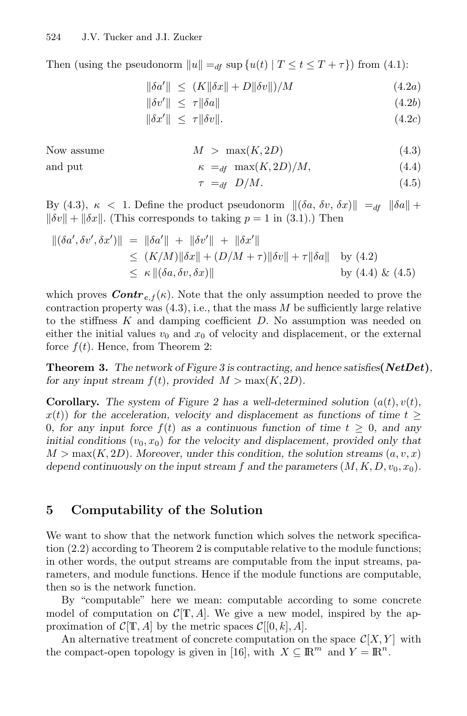Then (using the pseudonorm  $||u|| =_{df} \sup \{u(t) | T \le t \le T + \tau\}$ ) from (4.1):

$$
\|\delta a'\| \le (K\|\delta x\| + D\|\delta v\|)/M \tag{4.2a}
$$

$$
\|\delta v'\| \le \tau \|\delta a\| \tag{4.2b}
$$

$$
\|\delta x'\| \leq \tau \|\delta v\|.\tag{4.2c}
$$

Now assume  $M > \max(K, 2D)$  (4.3) and put  $\kappa =_{df} \max(K, 2D)/M,$  (4.4)

$$
\tau =_{df} D/M. \tag{4.5}
$$

By (4.3),  $\kappa$  < 1. Define the product pseudonorm  $\|(\delta a, \delta v, \delta x)\| =_{df} \|\delta a\| +$  $\|\delta v\| + \|\delta x\|$ . (This corresponds to taking  $p = 1$  in (3.1).) Then

$$
\begin{aligned} ||(\delta a', \delta v', \delta x')|| &= ||\delta a'|| + ||\delta v'|| + ||\delta x'|| \\ &\le (K/M) ||\delta x|| + (D/M + \tau) ||\delta v|| + \tau ||\delta a|| \quad \text{by (4.2)} \\ &\le \kappa ||(\delta a, \delta v, \delta x)|| \quad \text{by (4.4) && (4.5)} \end{aligned}
$$

which proves  $Contr_{c,f}(\kappa)$ . Note that the only assumption needed to prove the contraction property was  $(4.3)$ , i.e., that the mass M be sufficiently large relative to the stiffness  $K$  and damping coefficient  $D$ . No assumption was needed on either the initial values  $v_0$  and  $x_0$  of velocity and displacement, or the external force  $f(t)$ . Hence, from Theorem 2:

**Theorem 3.** *The network of Figure 3 is contracting, and hence satisfies***(***NetDet***)***, for any input stream*  $f(t)$ *, provided*  $M > \max(K, 2D)$ *.* 

**Corollary.** The system of Figure 2 has a well-determined solution  $(a(t), v(t))$ ,  $x(t)$  for the acceleration, velocity and displacement as functions of time  $t \geq$ 0, for any input force  $f(t)$  as a continuous function of time  $t \geq 0$ , and any *initial conditions*  $(v_0, x_0)$  *for the velocity and displacement, provided only that*  $M > \max(K, 2D)$ *. Moreover, under this condition, the solution streams*  $(a, v, x)$ *depend continuously on the input stream f and the parameters*  $(M, K, D, v_0, x_0)$ *.* 

## **5 Computability of the Solution**

We want to show that the network function which solves the network specification (2.2) according to Theorem 2 is computable relative to the module functions; in other words, the output streams are computable from the input streams, parameters, and module functions. Hence if the module functions are computable, then so is the network function.

By "computable" here we mean: computable according to some concrete model of computation on  $C[T, A]$ . We give a new model, inspired by the approximation of  $\mathcal{C}[\mathbb{T}, A]$  by the metric spaces  $\mathcal{C}[[0, k], A]$ .

An alternative treatment of concrete computation on the space  $\mathcal{C}[X, Y]$  with the compact-open topology is given in [16], with  $X \subseteq \mathbb{R}^m$  and  $Y = \mathbb{R}^n$ .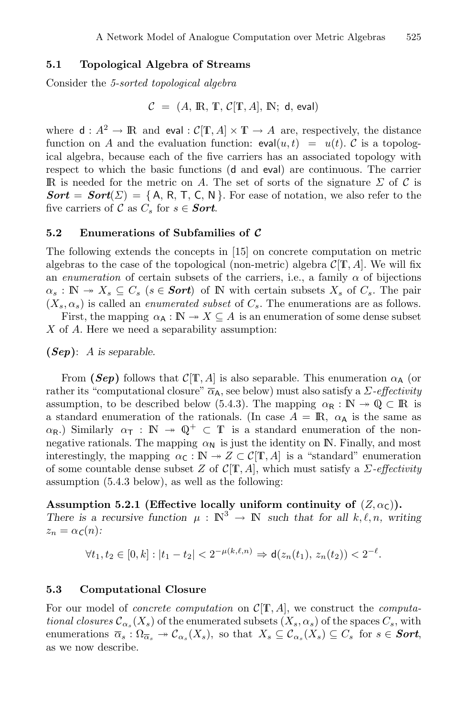#### **5.1 Topological Algebra of Streams**

Consider the *5-sorted topological algebra*

$$
\mathcal{C} = (A, \mathbb{R}, \mathbb{T}, \mathcal{C}[\mathbb{T}, A], \mathbb{N}; \mathsf{d}, \mathsf{eval})
$$

where  $d: A^2 \to \mathbb{R}$  and eval :  $C[\mathbb{T}, A] \times \mathbb{T} \to A$  are, respectively, the distance function on A and the evaluation function:  $eval(u, t) = u(t)$ . C is a topological algebra, because each of the five carriers has an associated topology with respect to which the basic functions (d and eval) are continuous. The carrier IR is needed for the metric on A. The set of sorts of the signature  $\Sigma$  of C is  $$ five carriers of C as  $C_s$  for  $s \in$  *Sort*.

#### **5.2 Enumerations of Subfamilies of** *C*

The following extends the concepts in [15] on concrete computation on metric algebras to the case of the topological (non-metric) algebra  $\mathcal{C}[\mathbb{T}, A]$ . We will fix an *enumeration* of certain subsets of the carriers, i.e., a family  $\alpha$  of bijections  $\alpha_s : \mathbb{N} \to X_s \subseteq C_s$  ( $s \in **Sort**$ ) of  $\mathbb N$  with certain subsets  $X_s$  of  $C_s$ . The pair  $(X_s, \alpha_s)$  is called an *enumerated subset* of  $C_s$ . The enumerations are as follows.

First, the mapping  $\alpha_A : \mathbb{N} \to X \subseteq A$  is an enumeration of some dense subset X of A. Here we need a separability assumption:

**(***Sep***)**: A *is separable.*

From (*Sep*) follows that  $\mathcal{C}[\mathbb{T}, A]$  is also separable. This enumeration  $\alpha_A$  (or rather its "computational closure"  $\overline{\alpha}_A$ , see below) must also satisfy a *Σ*-*effectivity* assumption, to be described below (5.4.3). The mapping  $\alpha_R : \mathbb{N} \to \mathbb{Q} \subset \mathbb{R}$  is a standard enumeration of the rationals. (In case  $A = \mathbb{R}$ ,  $\alpha_A$  is the same as  $\alpha_{\mathsf{R}}$ .) Similarly  $\alpha_{\mathsf{T}} : \mathbb{N} \to \mathbb{Q}^+ \subset \mathbb{T}$  is a standard enumeration of the nonnegative rationals. The mapping  $\alpha_N$  is just the identity on IN. Finally, and most interestingly, the mapping  $\alpha_{\mathsf{C}} : \mathbb{N} \to Z \subset \mathcal{C}[\mathbb{T}, A]$  is a "standard" enumeration of some countable dense subset Z of  $C[T, A]$ , which must satisfy a  $\Sigma$ -effectivity assumption (5.4.3 below), as well as the following:

#### **Assumption 5.2.1 (Effective locally uniform continuity of**  $(Z, \alpha_C)$ **).**

*There is a recursive function*  $\mu : \mathbb{N}^3 \to \mathbb{N}$  *such that for all* k,  $\ell, n$ , writing  $z_n = \alpha_c(n)$ :

 $\forall t_1, t_2 \in [0, k] : |t_1 - t_2| < 2^{-\mu(k, \ell, n)} \Rightarrow \mathsf{d}(z_n(t_1), z_n(t_2)) < 2^{-\ell}.$ 

#### **5.3 Computational Closure**

For our model of *concrete computation* on  $C[T, A]$ , we construct the *computational closures*  $\mathcal{C}_{\alpha_{s}}(X_{s})$  of the enumerated subsets  $(X_{s}, \alpha_{s})$  of the spaces  $C_{s}$ , with enumerations  $\overline{\alpha_s} : \Omega_{\overline{\alpha_s}} \to \mathcal{C}_{\alpha_s}(X_s)$ , so that  $X_s \subseteq \mathcal{C}_{\alpha_s}(X_s) \subseteq C_s$  for  $s \in$  **Sort**, as we now describe.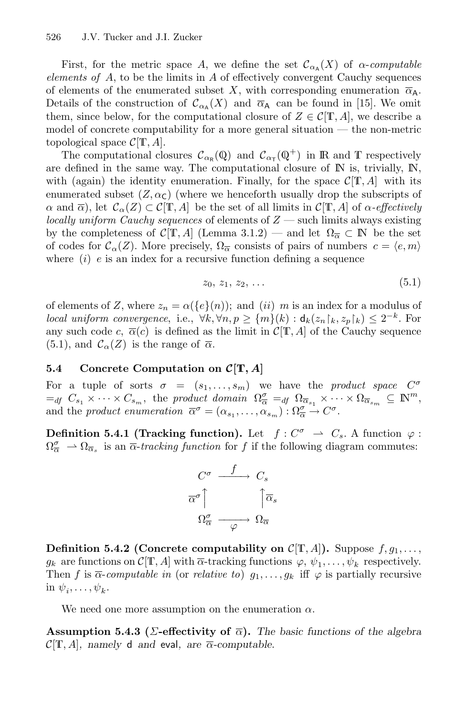First, for the metric space A, we define the set  $\mathcal{C}_{\alpha}(\mathbf{X})$  of  $\alpha$ -*computable elements of* A, to be the limits in A of effectively convergent Cauchy sequences of elements of the enumerated subset X, with corresponding enumeration  $\overline{\alpha}_{A}$ . Details of the construction of  $\mathcal{C}_{\alpha}$  (X) and  $\overline{\alpha}_A$  can be found in [15]. We omit them, since below, for the computational closure of  $Z \in \mathcal{C}[\mathbb{T}, A]$ , we describe a model of concrete computability for a more general situation — the non-metric topological space  $\mathcal{C}[\mathbb{T}, A]$ .

The computational closures  $\mathcal{C}_{\alpha_{\mathbb{R}}}(\mathbb{Q})$  and  $\mathcal{C}_{\alpha_{\mathbb{R}}}(\mathbb{Q}^+)$  in R and T respectively are defined in the same way. The computational closure of  $\mathbb N$  is, trivially,  $\mathbb N$ , with (again) the identity enumeration. Finally, for the space  $\mathcal{C}[\mathbb{T}, A]$  with its enumerated subset  $(Z, \alpha<sub>C</sub>)$  (where we henceforth usually drop the subscripts of  $\alpha$  and  $\overline{\alpha}$ ), let  $\mathcal{C}_{\alpha}(Z) \subset \mathcal{C}[\mathbb{T}, A]$  be the set of all limits in  $\mathcal{C}[\mathbb{T}, A]$  of  $\alpha$ -effectively *locally uniform Cauchy sequences* of elements of Z — such limits always existing by the completeness of  $\mathcal{C}[\mathbb{T}, A]$  (Lemma 3.1.2) — and let  $\Omega_{\overline{\alpha}} \subset \mathbb{N}$  be the set of codes for  $\mathcal{C}_{\alpha}(Z)$ . More precisely,  $\Omega_{\overline{\alpha}}$  consists of pairs of numbers  $c = \langle e, m \rangle$ where  $(i)$  e is an index for a recursive function defining a sequence

$$
z_0, z_1, z_2, \ldots \tag{5.1}
$$

of elements of Z, where  $z_n = \alpha({e}{n})$ ; and  $(ii)$  m is an index for a modulus of *local uniform convergence*, i.e.,  $\forall k, \forall n, p \geq \{m\}(k) : d_k(z_n) \mid k, z_p \mid k) \leq 2^{-k}$ . For any such code c,  $\overline{\alpha}(c)$  is defined as the limit in  $\mathcal{C}[\mathbb{T}, A]$  of the Cauchy sequence (5.1), and  $\mathcal{C}_{\alpha}(Z)$  is the range of  $\overline{\alpha}$ .

#### **5.4 Concrete Computation on** *C***[T***, A***]**

For a tuple of sorts  $\sigma = (s_1, \ldots, s_m)$  we have the *product space*  $C^{\sigma}$  $=_{df} C_{s_1} \times \cdots \times C_{s_m}$ , the *product domain*  $\Omega_{\overline{\alpha}}^{\sigma} =_{df} \Omega_{\overline{\alpha}_{s_1}} \times \cdots \times \Omega_{\overline{\alpha}_{s_m}}^{\sigma} \subseteq \mathbb{N}^m$ , and the *product enumeration*  $\overline{\alpha}^{\sigma} = (\alpha_{s_1}, \ldots, \alpha_{s_m}) : \Omega_{\overline{\alpha}}^{\sigma} \to C^{\sigma}$ .

**Definition 5.4.1 (Tracking function).** Let  $f: C^{\sigma} \rightharpoonup C_s$ . A function  $\varphi$ :  $\Omega_{\overline{\alpha}}^{\sigma} \rightharpoonup \Omega_{\overline{\alpha}_s}$  is an  $\overline{\alpha}$ -tracking function for f if the following diagram commutes:



**Definition 5.4.2 (Concrete computability on**  $C[T, A]$ **).** Suppose  $f, g_1, \ldots,$  $g_k$  are functions on  $\mathcal{C}[\mathbb{T}, A]$  with  $\overline{\alpha}$ -tracking functions  $\varphi, \psi_1, \ldots, \psi_k$  respectively. Then f is  $\overline{\alpha}$ -computable in (or *relative to*)  $g_1, \ldots, g_k$  iff  $\varphi$  is partially recursive in  $\psi_i,\ldots,\psi_k$ .

We need one more assumption on the enumeration  $\alpha$ .

**Assumption 5.4.3** ( $\Sigma$ -effectivity of  $\overline{\alpha}$ ). The basic functions of the algebra  $\mathcal{C}[\mathbb{T}, A]$ , namely d and eval, are  $\overline{\alpha}$ -computable.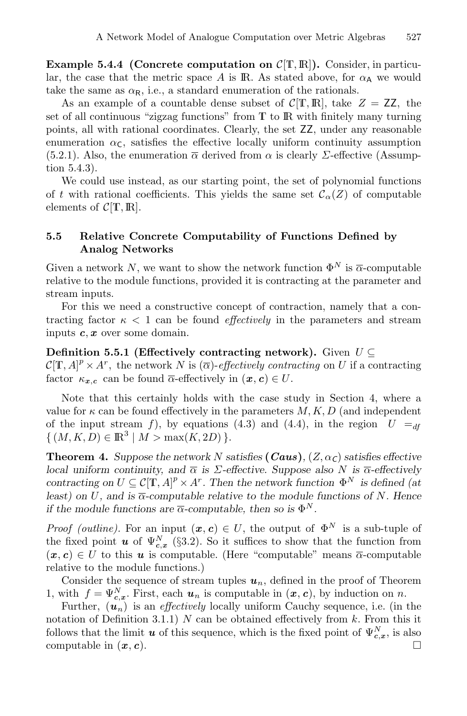**Example 5.4.4 (Concrete computation on**  $\mathcal{C}[\mathbb{T}, \mathbb{R}]$ **). Consider, in particu**lar, the case that the metric space A is IR. As stated above, for  $\alpha_A$  we would take the same as  $\alpha_R$ , i.e., a standard enumeration of the rationals.

As an example of a countable dense subset of  $\mathcal{C}[\mathbb{T},\mathbb{R}]$ , take  $Z = \mathbb{Z}Z$ , the set of all continuous "zigzag functions" from  $\mathbb T$  to  $\mathbb R$  with finitely many turning points, all with rational coordinates. Clearly, the set ZZ, under any reasonable enumeration  $\alpha_{\mathsf{C}}$ , satisfies the effective locally uniform continuity assumption (5.2.1). Also, the enumeration  $\overline{\alpha}$  derived from  $\alpha$  is clearly  $\Sigma$ -effective (Assumption 5.4.3).

We could use instead, as our starting point, the set of polynomial functions of t with rational coefficients. This yields the same set  $\mathcal{C}_{\alpha}(Z)$  of computable elements of  $\mathcal{C}[\mathbb{T}, \mathbb{R}]$ .

#### **5.5 Relative Concrete Computability of Functions Defined by Analog Networks**

Given a network N, we want to show the network function  $\Phi^N$  is  $\overline{\alpha}$ -computable relative to the module functions, provided it is contracting at the parameter and stream inputs.

For this we need a constructive concept of contraction, namely that a contracting factor  $\kappa$  < 1 can be found *effectively* in the parameters and stream inputs *c*, *x* over some domain.

#### **Definition 5.5.1 (Effectively contracting network).** Given  $U \subseteq$

 $\mathcal{C}[\mathbb{T}, A]^p \times A^r$ , the network N is  $(\overline{\alpha})$ -effectively contracting on U if a contracting factor  $\kappa_{x,c}$  can be found  $\overline{\alpha}$ -effectively in  $(x, c) \in U$ .

Note that this certainly holds with the case study in Section 4, where a value for  $\kappa$  can be found effectively in the parameters  $M, K, D$  (and independent of the input stream f), by equations (4.3) and (4.4), in the region  $U =_{df}$  $\{(M, K, D) \in \mathbb{R}^3 \mid M > \max(K, 2D)\}.$ 

**Theorem 4.** *Suppose the network* N *satisfies* (*Caus*),  $(Z, \alpha_C)$  *satisfies effective local uniform continuity, and*  $\overline{\alpha}$  *is*  $\Sigma$ -effective. Suppose also N *is*  $\overline{\alpha}$ -effectively *contracting on*  $U \subseteq C[\mathbb{T}, A]^p \times A^r$ . Then the network function  $\Phi^N$  is defined (at *least)* on U, and is  $\overline{\alpha}$ -computable relative to the module functions of N. Hence *if the module functions are*  $\overline{\alpha}$ -computable, then so is  $\Phi^N$ .

*Proof (outline).* For an input  $(x, c) \in U$ , the output of  $\Phi^N$  is a sub-tuple of the fixed point *u* of  $\Psi_{c,x}^{N}$  (§3.2). So it suffices to show that the function from  $(x, c) \in U$  to this *u* is computable. (Here "computable" means  $\overline{\alpha}$ -computable relative to the module functions.)

Consider the sequence of stream tuples  $u_n$ , defined in the proof of Theorem 1, with  $f = \Psi_{c,x}^N$ . First, each  $u_n$  is computable in  $(x, c)$ , by induction on n.

Further,  $(\mathbf{u}_n)$  is an *effectively* locally uniform Cauchy sequence, i.e. (in the notation of Definition 3.1.1)  $N$  can be obtained effectively from  $k$ . From this it follows that the limit *u* of this sequence, which is the fixed point of  $\Psi_{c,x}^{N}$ , is also computable in  $(x, c)$ .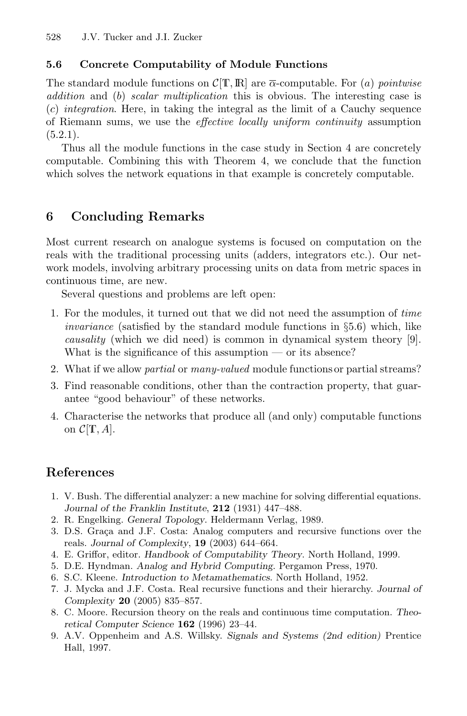## **5.6 Concrete Computability of Module Functions**

The standard module functions on  $\mathcal{C}[\mathbb{T},\mathbb{R}]$  are  $\overline{\alpha}$ -computable. For (a) *pointwise addition* and (b) *scalar multiplication* this is obvious. The interesting case is (c) *integration*. Here, in taking the integral as the limit of a Cauchy sequence of Riemann sums, we use the *effective locally uniform continuity* assumption  $(5.2.1).$ 

Thus all the module functions in the case study in Section 4 are concretely computable. Combining this with Theorem 4, we conclude that the function which solves the network equations in that example is concretely computable.

## **6 Concluding Remarks**

Most current research on analogue systems is focused on computation on the reals with the traditional processing units (adders, integrators etc.). Our network models, involving arbitrary processing units on data from metric spaces in continuous time, are new.

Several questions and problems are left open:

- 1. For the modules, it turned out that we did not need the assumption of *time invariance* (satisfied by the standard module functions in  $\S5.6$ ) which, like *causality* (which we did need) is common in dynamical system theory [9]. What is the significance of this assumption — or its absence?
- 2. What if we allow *partial* or *many-valued* module functions or partial streams?
- 3. Find reasonable conditions, other than the contraction property, that guarantee "good behaviour" of these networks.
- 4. Characterise the networks that produce all (and only) computable functions on  $\mathcal{C}[\mathbb{T}, A].$

## **References**

- 1. V. Bush. The differential analyzer: a new machine for solving differential equations. *Journal of the Franklin Institute*, **212** (1931) 447–488.
- 2. R. Engelking. *General Topology*. Heldermann Verlag, 1989.
- 3. D.S. Graça and J.F. Costa: Analog computers and recursive functions over the reals. *Journal of Complexity*, **19** (2003) 644–664.
- 4. E. Griffor, editor. *Handbook of Computability Theory*. North Holland, 1999.
- 5. D.E. Hyndman. *Analog and Hybrid Computing*. Pergamon Press, 1970.
- 6. S.C. Kleene. *Introduction to Metamathematics*. North Holland, 1952.
- 7. J. Mycka and J.F. Costa. Real recursive functions and their hierarchy. *Journal of Complexity* **20** (2005) 835–857.
- 8. C. Moore. Recursion theory on the reals and continuous time computation. *Theoretical Computer Science* **162** (1996) 23–44.
- 9. A.V. Oppenheim and A.S. Willsky. *Signals and Systems (2nd edition)* Prentice Hall, 1997.